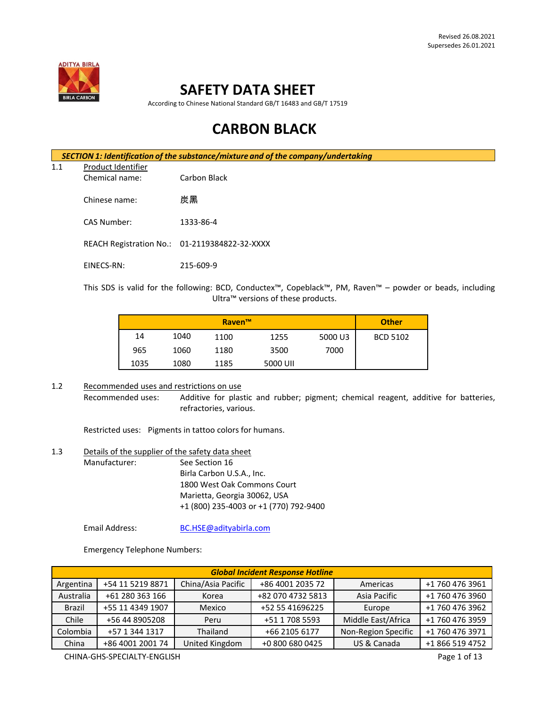

# **SAFETY DATA SHEET**

According to Chinese National Standard GB/T 16483 and GB/T 17519

# **CARBON BLACK**

|     | SECTION 1: Identification of the substance/mixture and of the company/undertaking |                                                                                                           |  |  |  |
|-----|-----------------------------------------------------------------------------------|-----------------------------------------------------------------------------------------------------------|--|--|--|
| 1.1 | Product Identifier                                                                |                                                                                                           |  |  |  |
|     | Chemical name:                                                                    | Carbon Black                                                                                              |  |  |  |
|     | Chinese name:                                                                     | 炭黑                                                                                                        |  |  |  |
|     | CAS Number:                                                                       | 1333-86-4                                                                                                 |  |  |  |
|     |                                                                                   | REACH Registration No.: 01-2119384822-32-XXXX                                                             |  |  |  |
|     | EINECS-RN:                                                                        | 215-609-9                                                                                                 |  |  |  |
|     |                                                                                   | This SDS is valid for the following: BCD, Conductex™, Copeblack™, PM, Raven™ – powder or beads, including |  |  |  |

Ultra™ versions of these products.

|      | Raven <sup>™</sup> |      |          |         | <b>Other</b>    |
|------|--------------------|------|----------|---------|-----------------|
| 14   | 1040               | 1100 | 1255     | 5000 U3 | <b>BCD 5102</b> |
| 965  | 1060               | 1180 | 3500     | 7000    |                 |
| 1035 | 1080               | 1185 | 5000 UII |         |                 |

# 1.2 Recommended uses and restrictions on use

Recommended uses: Additive for plastic and rubber; pigment; chemical reagent, additive for batteries, refractories, various.

Restricted uses: Pigments in tattoo colors for humans.

# 1.3 Details of the supplier of the safety data sheet

Manufacturer: See Section 16 Birla Carbon U.S.A., Inc. 1800 West Oak Commons Court Marietta, Georgia 30062, USA +1 (800) 235-4003 or +1 (770) 792-9400

Email Address: [BC.HSE@adityabirla.com](mailto:BC.HSE@adityabirla.com)

Emergency Telephone Numbers:

| <b>Global Incident Response Hotline</b> |                  |                    |                   |                     |                 |
|-----------------------------------------|------------------|--------------------|-------------------|---------------------|-----------------|
| Argentina                               | +54 11 5219 8871 | China/Asia Pacific | +86 4001 2035 72  | Americas            | +1 760 476 3961 |
| Australia                               | +61 280 363 166  | Korea              | +82 070 4732 5813 | Asia Pacific        | +1 760 476 3960 |
| <b>Brazil</b>                           | +55 11 4349 1907 | Mexico             | +52 55 41696225   | Europe              | +1 760 476 3962 |
| Chile                                   | +56 44 8905208   | Peru               | +51 1 708 5593    | Middle East/Africa  | +1 760 476 3959 |
| Colombia                                | +57 1 344 1317   | Thailand           | +66 2105 6177     | Non-Region Specific | +1 760 476 3971 |
| China                                   | +86 4001 2001 74 | United Kingdom     | +0 800 680 0425   | US & Canada         | +1 866 519 4752 |

CHINA-GHS-SPECIALTY-ENGLISH **Page 1 of 13**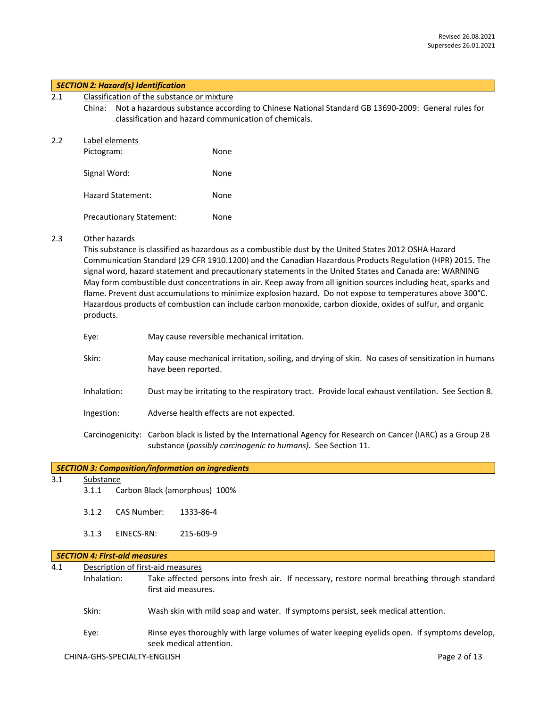#### *SECTION 2: Hazard(s) Identification*

| 2.1 | Classification of the substance or mixture                                                                                                                                                                                         |                                                                                                                                                            |  |  |  |
|-----|------------------------------------------------------------------------------------------------------------------------------------------------------------------------------------------------------------------------------------|------------------------------------------------------------------------------------------------------------------------------------------------------------|--|--|--|
|     | China:                                                                                                                                                                                                                             | Not a hazardous substance according to Chinese National Standard GB 13690-2009: General rules for<br>classification and hazard communication of chemicals. |  |  |  |
| 2.2 | Label elements<br>Pictogram:                                                                                                                                                                                                       | None                                                                                                                                                       |  |  |  |
|     | Signal Word:                                                                                                                                                                                                                       | None                                                                                                                                                       |  |  |  |
|     | <b>Hazard Statement:</b>                                                                                                                                                                                                           | None                                                                                                                                                       |  |  |  |
|     | <b>Precautionary Statement:</b>                                                                                                                                                                                                    | None                                                                                                                                                       |  |  |  |
| 2.3 | Other hazards<br>This substance is classified as hazardous as a combustible dust by the United States 2012 OSHA Hazard<br>Communication Standard (29 CFR 1910.1200) and the Canadian Hazardous Products Regulation (HPR) 2015. The |                                                                                                                                                            |  |  |  |

signal word, hazard statement and precautionary statements in the United States and Canada are: WARNING May form combustible dust concentrations in air. Keep away from all ignition sources including heat, sparks and flame. Prevent dust accumulations to minimize explosion hazard. Do not expose to temperatures above 300°C. Hazardous products of combustion can include carbon monoxide, carbon dioxide, oxides of sulfur, and organic products.

| Eye:        | May cause reversible mechanical irritation.                                                                                                                                     |
|-------------|---------------------------------------------------------------------------------------------------------------------------------------------------------------------------------|
| Skin:       | May cause mechanical irritation, soiling, and drying of skin. No cases of sensitization in humans<br>have been reported.                                                        |
| Inhalation: | Dust may be irritating to the respiratory tract. Provide local exhaust ventilation. See Section 8.                                                                              |
| Ingestion:  | Adverse health effects are not expected.                                                                                                                                        |
|             | Carcinogenicity: Carbon black is listed by the International Agency for Research on Cancer (IARC) as a Group 2B<br>substance (possibly carcinogenic to humans). See Section 11. |

*SECTION 3: Composition/information on ingredients*

#### 3.1 Substance

- 3.1.1 Carbon Black (amorphous) 100%
- 3.1.2 CAS Number: 1333-86-4
- 3.1.3 EINECS-RN: 215-609-9

# *SECTION 4: First-aid measures*

4.1 Description of first-aid measures

Inhalation: Take affected persons into fresh air. If necessary, restore normal breathing through standard first aid measures.

- Skin: Wash skin with mild soap and water. If symptoms persist, seek medical attention.
- Eye: Rinse eyes thoroughly with large volumes of water keeping eyelids open. If symptoms develop, seek medical attention.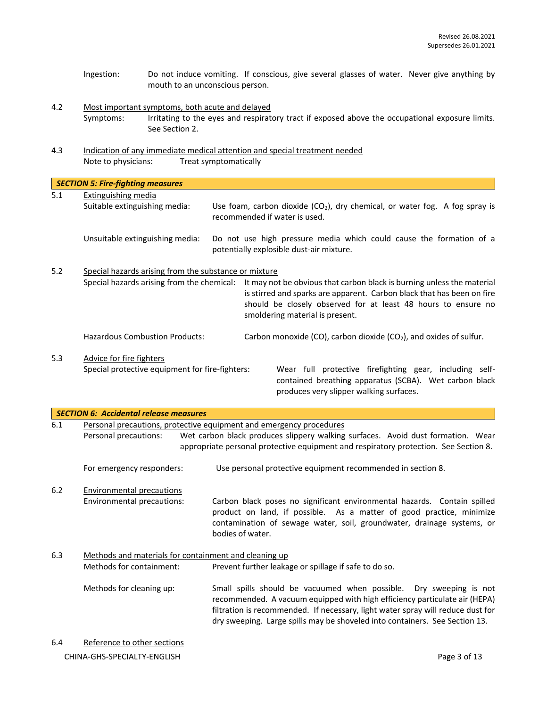- Ingestion: Do not induce vomiting. If conscious, give several glasses of water. Never give anything by mouth to an unconscious person.
- 4.2 Most important symptoms, both acute and delayed Symptoms: Irritating to the eyes and respiratory tract if exposed above the occupational exposure limits. See Section 2.
- 4.3 Indication of any immediate medical attention and special treatment needed Note to physicians: Treat symptomatically

|     | <b>SECTION 5: Fire-fighting measures</b>              |  |                                                                                                                                                                                                                                                      |                                                                                                                                                              |
|-----|-------------------------------------------------------|--|------------------------------------------------------------------------------------------------------------------------------------------------------------------------------------------------------------------------------------------------------|--------------------------------------------------------------------------------------------------------------------------------------------------------------|
| 5.1 | Extinguishing media                                   |  |                                                                                                                                                                                                                                                      |                                                                                                                                                              |
|     | Suitable extinguishing media:                         |  |                                                                                                                                                                                                                                                      | Use foam, carbon dioxide $(CO2)$ , dry chemical, or water fog. A fog spray is<br>recommended if water is used.                                               |
|     | Unsuitable extinguishing media:                       |  |                                                                                                                                                                                                                                                      | Do not use high pressure media which could cause the formation of a<br>potentially explosible dust-air mixture.                                              |
| 5.2 | Special hazards arising from the substance or mixture |  |                                                                                                                                                                                                                                                      |                                                                                                                                                              |
|     | Special hazards arising from the chemical:            |  | It may not be obvious that carbon black is burning unless the material<br>is stirred and sparks are apparent. Carbon black that has been on fire<br>should be closely observed for at least 48 hours to ensure no<br>smoldering material is present. |                                                                                                                                                              |
|     | <b>Hazardous Combustion Products:</b>                 |  |                                                                                                                                                                                                                                                      | Carbon monoxide (CO), carbon dioxide (CO <sub>2</sub> ), and oxides of sulfur.                                                                               |
| 5.3 | Advice for fire fighters                              |  |                                                                                                                                                                                                                                                      |                                                                                                                                                              |
|     | Special protective equipment for fire-fighters:       |  |                                                                                                                                                                                                                                                      | Wear full protective firefighting gear, including self-<br>contained breathing apparatus (SCBA). Wet carbon black<br>produces very slipper walking surfaces. |

|     | <b>SECTION 6: Accidental release measures</b>         |                                                                                                                                                                                                                                                                                                                    |  |  |  |
|-----|-------------------------------------------------------|--------------------------------------------------------------------------------------------------------------------------------------------------------------------------------------------------------------------------------------------------------------------------------------------------------------------|--|--|--|
| 6.1 | Personal precautions:                                 | Personal precautions, protective equipment and emergency procedures<br>Wet carbon black produces slippery walking surfaces. Avoid dust formation. Wear                                                                                                                                                             |  |  |  |
|     |                                                       | appropriate personal protective equipment and respiratory protection. See Section 8.                                                                                                                                                                                                                               |  |  |  |
|     | For emergency responders:                             | Use personal protective equipment recommended in section 8.                                                                                                                                                                                                                                                        |  |  |  |
| 6.2 | <b>Environmental precautions</b>                      |                                                                                                                                                                                                                                                                                                                    |  |  |  |
|     | Environmental precautions:                            | Carbon black poses no significant environmental hazards. Contain spilled<br>product on land, if possible. As a matter of good practice, minimize<br>contamination of sewage water, soil, groundwater, drainage systems, or<br>bodies of water.                                                                     |  |  |  |
| 6.3 | Methods and materials for containment and cleaning up |                                                                                                                                                                                                                                                                                                                    |  |  |  |
|     | Methods for containment:                              | Prevent further leakage or spillage if safe to do so.                                                                                                                                                                                                                                                              |  |  |  |
|     | Methods for cleaning up:                              | Small spills should be vacuumed when possible. Dry sweeping is not<br>recommended. A vacuum equipped with high efficiency particulate air (HEPA)<br>filtration is recommended. If necessary, light water spray will reduce dust for<br>dry sweeping. Large spills may be shoveled into containers. See Section 13. |  |  |  |
| 6.4 | Reference to other sections                           |                                                                                                                                                                                                                                                                                                                    |  |  |  |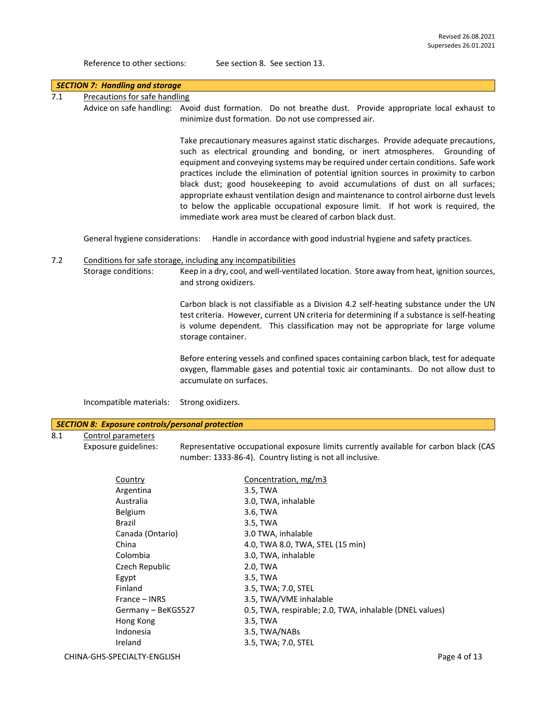Reference to other sections: See section 8. See section 13.

|     | <b>SECTION 7: Handling and storage</b>                  |                                                                                                                                                                                                                                                                                                                                                                                                                                                                                                                                                                                                                                                                                    |  |  |
|-----|---------------------------------------------------------|------------------------------------------------------------------------------------------------------------------------------------------------------------------------------------------------------------------------------------------------------------------------------------------------------------------------------------------------------------------------------------------------------------------------------------------------------------------------------------------------------------------------------------------------------------------------------------------------------------------------------------------------------------------------------------|--|--|
| 7.1 | <b>Precautions for safe handling</b>                    |                                                                                                                                                                                                                                                                                                                                                                                                                                                                                                                                                                                                                                                                                    |  |  |
|     | Advice on safe handling:                                | Avoid dust formation. Do not breathe dust. Provide appropriate local exhaust to<br>minimize dust formation. Do not use compressed air.                                                                                                                                                                                                                                                                                                                                                                                                                                                                                                                                             |  |  |
|     |                                                         | Take precautionary measures against static discharges. Provide adequate precautions,<br>such as electrical grounding and bonding, or inert atmospheres. Grounding of<br>equipment and conveying systems may be required under certain conditions. Safe work<br>practices include the elimination of potential ignition sources in proximity to carbon<br>black dust; good housekeeping to avoid accumulations of dust on all surfaces;<br>appropriate exhaust ventilation design and maintenance to control airborne dust levels<br>to below the applicable occupational exposure limit. If hot work is required, the<br>immediate work area must be cleared of carbon black dust. |  |  |
|     | General hygiene considerations:                         | Handle in accordance with good industrial hygiene and safety practices.                                                                                                                                                                                                                                                                                                                                                                                                                                                                                                                                                                                                            |  |  |
| 7.2 |                                                         | Conditions for safe storage, including any incompatibilities                                                                                                                                                                                                                                                                                                                                                                                                                                                                                                                                                                                                                       |  |  |
|     | Storage conditions:                                     | Keep in a dry, cool, and well-ventilated location. Store away from heat, ignition sources,<br>and strong oxidizers.                                                                                                                                                                                                                                                                                                                                                                                                                                                                                                                                                                |  |  |
|     |                                                         | Carbon black is not classifiable as a Division 4.2 self-heating substance under the UN<br>test criteria. However, current UN criteria for determining if a substance is self-heating<br>is volume dependent. This classification may not be appropriate for large volume<br>storage container.                                                                                                                                                                                                                                                                                                                                                                                     |  |  |
|     |                                                         | Before entering vessels and confined spaces containing carbon black, test for adequate<br>oxygen, flammable gases and potential toxic air contaminants. Do not allow dust to<br>accumulate on surfaces.                                                                                                                                                                                                                                                                                                                                                                                                                                                                            |  |  |
|     | Incompatible materials:                                 | Strong oxidizers.                                                                                                                                                                                                                                                                                                                                                                                                                                                                                                                                                                                                                                                                  |  |  |
|     | <b>SECTION 8: Exposure controls/personal protection</b> |                                                                                                                                                                                                                                                                                                                                                                                                                                                                                                                                                                                                                                                                                    |  |  |
| 8.1 | Control parameters                                      |                                                                                                                                                                                                                                                                                                                                                                                                                                                                                                                                                                                                                                                                                    |  |  |
|     | Exposure guidelines:                                    | Representative occupational exposure limits currently available for carbon black (CAS<br>number: 1333-86-4). Country listing is not all inclusive.                                                                                                                                                                                                                                                                                                                                                                                                                                                                                                                                 |  |  |
|     | Country                                                 | Concentration, mg/m3                                                                                                                                                                                                                                                                                                                                                                                                                                                                                                                                                                                                                                                               |  |  |
|     | Argentina                                               | 3.5, TWA                                                                                                                                                                                                                                                                                                                                                                                                                                                                                                                                                                                                                                                                           |  |  |
|     | Australia                                               | 3.0, TWA, inhalable                                                                                                                                                                                                                                                                                                                                                                                                                                                                                                                                                                                                                                                                |  |  |
|     | Belgium                                                 | 3.6, TWA                                                                                                                                                                                                                                                                                                                                                                                                                                                                                                                                                                                                                                                                           |  |  |
|     | <b>Brazil</b>                                           | 3.5, TWA                                                                                                                                                                                                                                                                                                                                                                                                                                                                                                                                                                                                                                                                           |  |  |
|     | Canada (Ontario)                                        | 3.0 TWA, inhalable                                                                                                                                                                                                                                                                                                                                                                                                                                                                                                                                                                                                                                                                 |  |  |
|     | China                                                   | 4.0, TWA 8.0, TWA, STEL (15 min)                                                                                                                                                                                                                                                                                                                                                                                                                                                                                                                                                                                                                                                   |  |  |
|     | Colombia                                                | 3.0, TWA, inhalable                                                                                                                                                                                                                                                                                                                                                                                                                                                                                                                                                                                                                                                                |  |  |
|     | Czech Republic                                          | 2.0, TWA                                                                                                                                                                                                                                                                                                                                                                                                                                                                                                                                                                                                                                                                           |  |  |
|     | Egypt                                                   | 3.5, TWA                                                                                                                                                                                                                                                                                                                                                                                                                                                                                                                                                                                                                                                                           |  |  |
|     | Finland                                                 | 3.5, TWA; 7.0, STEL                                                                                                                                                                                                                                                                                                                                                                                                                                                                                                                                                                                                                                                                |  |  |
|     | France - INRS                                           | 3.5, TWA/VME inhalable                                                                                                                                                                                                                                                                                                                                                                                                                                                                                                                                                                                                                                                             |  |  |
|     | Germany - BeKGS527                                      | 0.5, TWA, respirable; 2.0, TWA, inhalable (DNEL values)                                                                                                                                                                                                                                                                                                                                                                                                                                                                                                                                                                                                                            |  |  |
|     | Hong Kong<br>Indonesia                                  | 3.5, TWA<br>3.5, TWA/NABs                                                                                                                                                                                                                                                                                                                                                                                                                                                                                                                                                                                                                                                          |  |  |
|     | Ireland                                                 | 3.5, TWA; 7.0, STEL                                                                                                                                                                                                                                                                                                                                                                                                                                                                                                                                                                                                                                                                |  |  |
|     |                                                         |                                                                                                                                                                                                                                                                                                                                                                                                                                                                                                                                                                                                                                                                                    |  |  |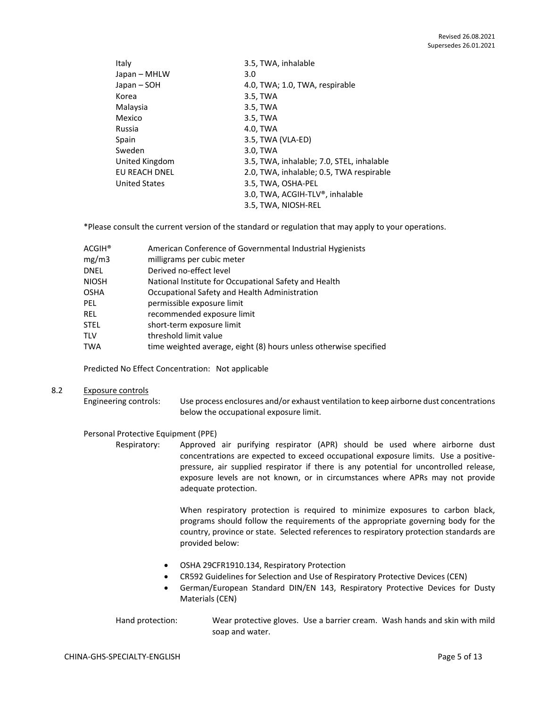| 3.5, TWA, inhalable; 7.0, STEL, inhalable |
|-------------------------------------------|
| 2.0, TWA, inhalable; 0.5, TWA respirable  |
|                                           |
|                                           |
|                                           |
|                                           |

\*Please consult the current version of the standard or regulation that may apply to your operations.

| ACGIH®     | American Conference of Governmental Industrial Hygienists         |
|------------|-------------------------------------------------------------------|
| mg/m3      | milligrams per cubic meter                                        |
| DNEL       | Derived no-effect level                                           |
| NIOSH      | National Institute for Occupational Safety and Health             |
| OSHA       | Occupational Safety and Health Administration                     |
| PEL.       | permissible exposure limit                                        |
| <b>REL</b> | recommended exposure limit                                        |
| STEL       | short-term exposure limit                                         |
| TLV        | threshold limit value                                             |
| TWA        | time weighted average, eight (8) hours unless otherwise specified |

Predicted No Effect Concentration: Not applicable

#### 8.2 Exposure controls

Engineering controls: Use process enclosures and/or exhaust ventilation to keep airborne dust concentrations below the occupational exposure limit.

#### Personal Protective Equipment (PPE)

Respiratory: Approved air purifying respirator (APR) should be used where airborne dust concentrations are expected to exceed occupational exposure limits. Use a positivepressure, air supplied respirator if there is any potential for uncontrolled release, exposure levels are not known, or in circumstances where APRs may not provide adequate protection.

> When respiratory protection is required to minimize exposures to carbon black, programs should follow the requirements of the appropriate governing body for the country, province or state. Selected references to respiratory protection standards are provided below:

- OSHA 29CFR1910.134, Respiratory Protection
- CR592 Guidelines for Selection and Use of Respiratory Protective Devices (CEN)
- German/European Standard DIN/EN 143, Respiratory Protective Devices for Dusty Materials (CEN)
- Hand protection: Wear protective gloves. Use a barrier cream. Wash hands and skin with mild soap and water.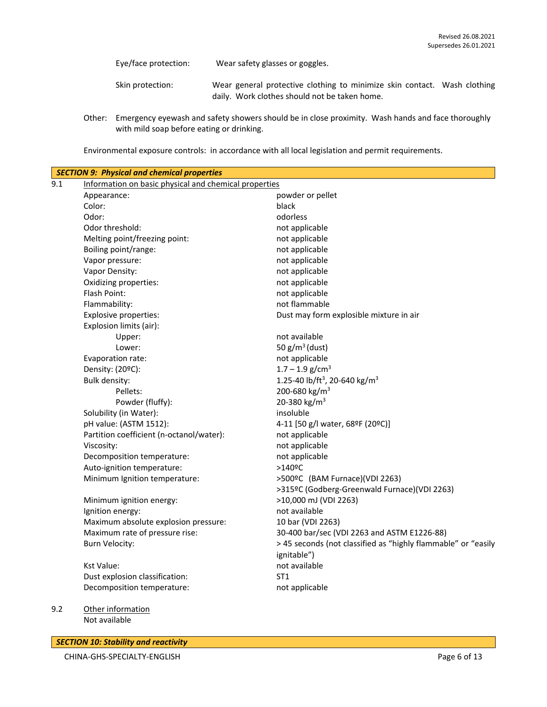Eye/face protection: Wear safety glasses or goggles.

Skin protection: Wear general protective clothing to minimize skin contact. Wash clothing daily. Work clothes should not be taken home.

Other: Emergency eyewash and safety showers should be in close proximity. Wash hands and face thoroughly with mild soap before eating or drinking.

Environmental exposure controls: in accordance with all local legislation and permit requirements.

| 9.1 | Information on basic physical and chemical properties |                                                                              |  |
|-----|-------------------------------------------------------|------------------------------------------------------------------------------|--|
|     | Appearance:                                           | powder or pellet                                                             |  |
|     | Color:                                                | black                                                                        |  |
|     | Odor:                                                 | odorless                                                                     |  |
|     | Odor threshold:                                       | not applicable                                                               |  |
|     | Melting point/freezing point:                         | not applicable                                                               |  |
|     | Boiling point/range:                                  | not applicable                                                               |  |
|     | Vapor pressure:                                       | not applicable                                                               |  |
|     | Vapor Density:                                        | not applicable                                                               |  |
|     | Oxidizing properties:                                 | not applicable                                                               |  |
|     | Flash Point:                                          | not applicable                                                               |  |
|     | Flammability:                                         | not flammable                                                                |  |
|     | Explosive properties:                                 | Dust may form explosible mixture in air                                      |  |
|     | Explosion limits (air):                               |                                                                              |  |
|     | Upper:                                                | not available                                                                |  |
|     | Lower:                                                | 50 $g/m^3$ (dust)                                                            |  |
|     | Evaporation rate:                                     | not applicable                                                               |  |
|     | Density: (20°C):                                      | $1.7 - 1.9$ g/cm <sup>3</sup>                                                |  |
|     | <b>Bulk density:</b>                                  | 1.25-40 lb/ft <sup>3</sup> , 20-640 kg/m <sup>3</sup>                        |  |
|     | Pellets:                                              | 200-680 kg/m <sup>3</sup>                                                    |  |
|     | Powder (fluffy):                                      | 20-380 kg/m <sup>3</sup>                                                     |  |
|     | Solubility (in Water):                                | insoluble                                                                    |  |
|     | pH value: (ASTM 1512):                                | 4-11 [50 g/l water, 68ºF (20ºC)]                                             |  |
|     | Partition coefficient (n-octanol/water):              | not applicable                                                               |  |
|     | Viscosity:                                            | not applicable                                                               |  |
|     | Decomposition temperature:                            | not applicable                                                               |  |
|     | Auto-ignition temperature:                            | $>140$ <sup>o</sup> C                                                        |  |
|     | Minimum Ignition temperature:                         | >500ºC (BAM Furnace)(VDI 2263)                                               |  |
|     |                                                       | >315ºC (Godberg-Greenwald Furnace)(VDI 2263)                                 |  |
|     | Minimum ignition energy:                              | >10,000 mJ (VDI 2263)                                                        |  |
|     | Ignition energy:                                      | not available                                                                |  |
|     | Maximum absolute explosion pressure:                  | 10 bar (VDI 2263)                                                            |  |
|     | Maximum rate of pressure rise:                        | 30-400 bar/sec (VDI 2263 and ASTM E1226-88)                                  |  |
|     | <b>Burn Velocity:</b>                                 | > 45 seconds (not classified as "highly flammable" or "easily<br>ignitable") |  |
|     | Kst Value:                                            | not available                                                                |  |
|     | Dust explosion classification:                        | ST <sub>1</sub>                                                              |  |
|     | Decomposition temperature:                            | not applicable                                                               |  |
| 9.2 | Other information                                     |                                                                              |  |

Not available

*SECTION 10: Stability and reactivity*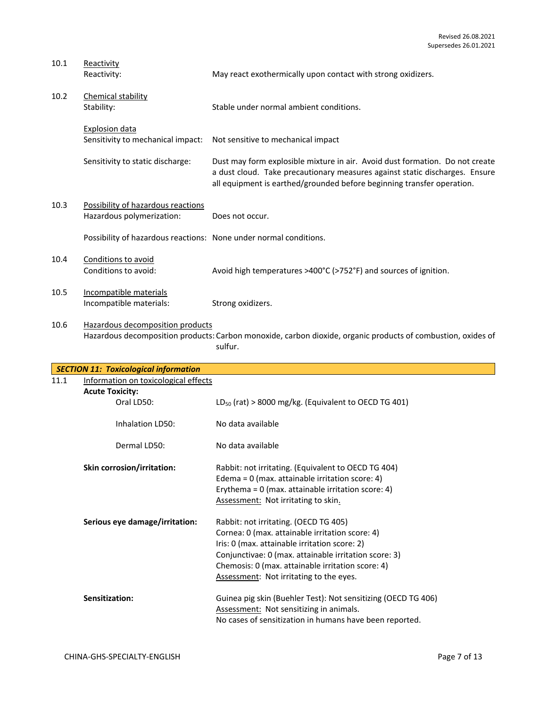| 10.1 | Reactivity<br>Reactivity:                                         | May react exothermically upon contact with strong oxidizers.                                                                                                                                                                          |
|------|-------------------------------------------------------------------|---------------------------------------------------------------------------------------------------------------------------------------------------------------------------------------------------------------------------------------|
| 10.2 | Chemical stability<br>Stability:                                  | Stable under normal ambient conditions.                                                                                                                                                                                               |
|      | <b>Explosion data</b><br>Sensitivity to mechanical impact:        | Not sensitive to mechanical impact                                                                                                                                                                                                    |
|      | Sensitivity to static discharge:                                  | Dust may form explosible mixture in air. Avoid dust formation. Do not create<br>a dust cloud. Take precautionary measures against static discharges. Ensure<br>all equipment is earthed/grounded before beginning transfer operation. |
| 10.3 | Possibility of hazardous reactions<br>Hazardous polymerization:   | Does not occur.                                                                                                                                                                                                                       |
|      | Possibility of hazardous reactions: None under normal conditions. |                                                                                                                                                                                                                                       |
| 10.4 | Conditions to avoid<br>Conditions to avoid:                       | Avoid high temperatures >400°C (>752°F) and sources of ignition.                                                                                                                                                                      |
| 10.5 | Incompatible materials<br>Incompatible materials:                 | Strong oxidizers.                                                                                                                                                                                                                     |
|      |                                                                   |                                                                                                                                                                                                                                       |

### 10.6 Hazardous decomposition products Hazardous decomposition products: Carbon monoxide, carbon dioxide, organic products of combustion, oxides of sulfur.

| <b>SECTION 11: Toxicological information</b> |                                      |                                                               |  |
|----------------------------------------------|--------------------------------------|---------------------------------------------------------------|--|
| 11.1                                         | Information on toxicological effects |                                                               |  |
|                                              | <b>Acute Toxicity:</b>               |                                                               |  |
| Oral LD50:                                   |                                      | $LD_{50}$ (rat) > 8000 mg/kg. (Equivalent to OECD TG 401)     |  |
|                                              | Inhalation LD50:                     | No data available                                             |  |
|                                              | Dermal LD50:                         | No data available                                             |  |
|                                              | Skin corrosion/irritation:           | Rabbit: not irritating. (Equivalent to OECD TG 404)           |  |
|                                              |                                      | Edema = $0$ (max. attainable irritation score: 4)             |  |
|                                              |                                      | Erythema = $0$ (max. attainable irritation score: 4)          |  |
|                                              |                                      | Assessment: Not irritating to skin.                           |  |
|                                              | Serious eye damage/irritation:       | Rabbit: not irritating. (OECD TG 405)                         |  |
|                                              |                                      | Cornea: 0 (max. attainable irritation score: 4)               |  |
|                                              |                                      | Iris: 0 (max. attainable irritation score: 2)                 |  |
|                                              |                                      | Conjunctivae: 0 (max. attainable irritation score: 3)         |  |
|                                              |                                      | Chemosis: 0 (max. attainable irritation score: 4)             |  |
|                                              |                                      | Assessment: Not irritating to the eyes.                       |  |
|                                              | Sensitization:                       | Guinea pig skin (Buehler Test): Not sensitizing (OECD TG 406) |  |
|                                              |                                      | Assessment: Not sensitizing in animals.                       |  |
|                                              |                                      | No cases of sensitization in humans have been reported.       |  |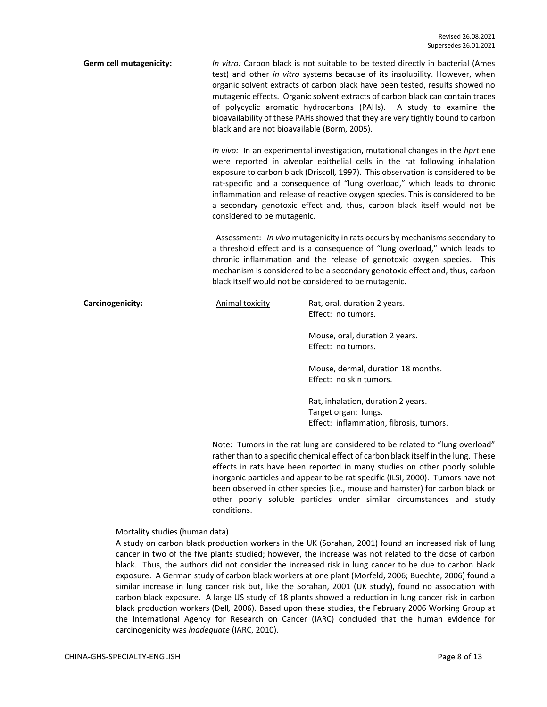**Germ cell mutagenicity:** *In vitro:* Carbon black is not suitable to be tested directly in bacterial (Ames test) and other *in vitro* systems because of its insolubility. However, when organic solvent extracts of carbon black have been tested, results showed no mutagenic effects. Organic solvent extracts of carbon black can contain traces of polycyclic aromatic hydrocarbons (PAHs). A study to examine the bioavailability of these PAHs showed that they are very tightly bound to carbon black and are not bioavailable (Borm, 2005).

> *In vivo:* In an experimental investigation, mutational changes in the *hprt* ene were reported in alveolar epithelial cells in the rat following inhalation exposure to carbon black (Driscoll*,* 1997). This observation is considered to be rat-specific and a consequence of "lung overload," which leads to chronic inflammation and release of reactive oxygen species. This is considered to be a secondary genotoxic effect and, thus, carbon black itself would not be considered to be mutagenic.

> Assessment: *In vivo* mutagenicity in rats occurs by mechanisms secondary to a threshold effect and is a consequence of "lung overload," which leads to chronic inflammation and the release of genotoxic oxygen species. This mechanism is considered to be a secondary genotoxic effect and, thus, carbon black itself would not be considered to be mutagenic.

**Carcinogenicity:** Animal toxicity Rat, oral, duration 2 years. Effect: no tumors.

> Mouse, oral, duration 2 years. Effect: no tumors.

Mouse, dermal, duration 18 months. Effect: no skin tumors.

Rat, inhalation, duration 2 years. Target organ: lungs. Effect: inflammation, fibrosis, tumors.

Note: Tumors in the rat lung are considered to be related to "lung overload" rather than to a specific chemical effect of carbon black itself in the lung. These effects in rats have been reported in many studies on other poorly soluble inorganic particles and appear to be rat specific (ILSI, 2000). Tumors have not been observed in other species (i.e., mouse and hamster) for carbon black or other poorly soluble particles under similar circumstances and study conditions.

# Mortality studies (human data)

A study on carbon black production workers in the UK (Sorahan, 2001) found an increased risk of lung cancer in two of the five plants studied; however, the increase was not related to the dose of carbon black. Thus, the authors did not consider the increased risk in lung cancer to be due to carbon black exposure. A German study of carbon black workers at one plant (Morfeld, 2006; Buechte, 2006) found a similar increase in lung cancer risk but, like the Sorahan, 2001 (UK study), found no association with carbon black exposure. A large US study of 18 plants showed a reduction in lung cancer risk in carbon black production workers (Dell*,* 2006). Based upon these studies, the February 2006 Working Group at the International Agency for Research on Cancer (IARC) concluded that the human evidence for carcinogenicity was *inadequate* (IARC, 2010).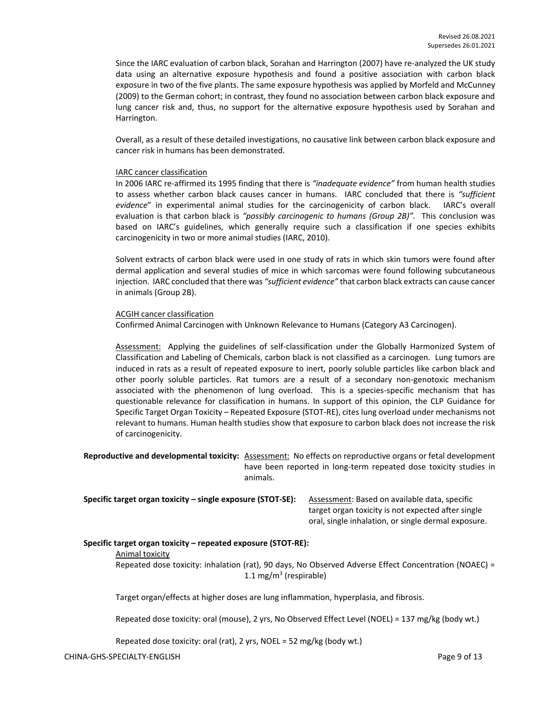Since the IARC evaluation of carbon black, Sorahan and Harrington (2007) have re-analyzed the UK study data using an alternative exposure hypothesis and found a positive association with carbon black exposure in two of the five plants. The same exposure hypothesis was applied by Morfeld and McCunney (2009) to the German cohort; in contrast, they found no association between carbon black exposure and lung cancer risk and, thus, no support for the alternative exposure hypothesis used by Sorahan and Harrington.

Overall, as a result of these detailed investigations, no causative link between carbon black exposure and cancer risk in humans has been demonstrated.

#### IARC cancer classification

In 2006 IARC re-affirmed its 1995 finding that there is *"inadequate evidence"* from human health studies to assess whether carbon black causes cancer in humans. IARC concluded that there is *"sufficient evidence*" in experimental animal studies for the carcinogenicity of carbon black. IARC's overall evaluation is that carbon black is *"possibly carcinogenic to humans (Group 2B)".* This conclusion was based on IARC's guidelines, which generally require such a classification if one species exhibits carcinogenicity in two or more animal studies (IARC, 2010).

Solvent extracts of carbon black were used in one study of rats in which skin tumors were found after dermal application and several studies of mice in which sarcomas were found following subcutaneous injection. IARC concluded that there was *"sufficient evidence"* that carbon black extracts can cause cancer in animals (Group 2B).

#### ACGIH cancer classification

Confirmed Animal Carcinogen with Unknown Relevance to Humans (Category A3 Carcinogen).

Assessment: Applying the guidelines of self-classification under the Globally Harmonized System of Classification and Labeling of Chemicals, carbon black is not classified as a carcinogen. Lung tumors are induced in rats as a result of repeated exposure to inert, poorly soluble particles like carbon black and other poorly soluble particles. Rat tumors are a result of a secondary non-genotoxic mechanism associated with the phenomenon of lung overload. This is a species-specific mechanism that has questionable relevance for classification in humans. In support of this opinion, the CLP Guidance for Specific Target Organ Toxicity – Repeated Exposure (STOT-RE), cites lung overload under mechanisms not relevant to humans. Human health studies show that exposure to carbon black does not increase the risk of carcinogenicity.

**Reproductive and developmental toxicity:** Assessment: No effects on reproductive organs or fetal development have been reported in long-term repeated dose toxicity studies in animals.

**Specific target organ toxicity – single exposure (STOT-SE):** Assessment: Based on available data, specific

target organ toxicity is not expected after single oral, single inhalation, or single dermal exposure.

# **Specific target organ toxicity – repeated exposure (STOT-RE):**

Animal toxicity

Repeated dose toxicity: inhalation (rat), 90 days, No Observed Adverse Effect Concentration (NOAEC) = 1.1 mg/m<sup>3</sup> (respirable)

Target organ/effects at higher doses are lung inflammation, hyperplasia, and fibrosis.

Repeated dose toxicity: oral (mouse), 2 yrs, No Observed Effect Level (NOEL) = 137 mg/kg (body wt.)

Repeated dose toxicity: oral (rat), 2 yrs, NOEL = 52 mg/kg (body wt.)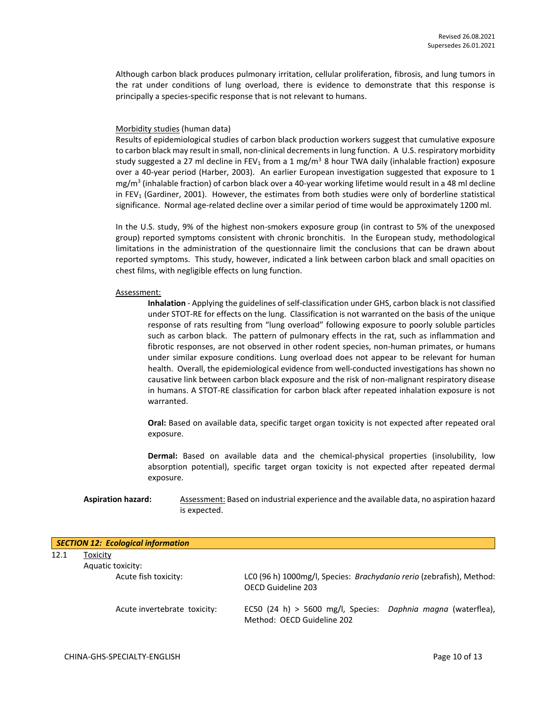Although carbon black produces pulmonary irritation, cellular proliferation, fibrosis, and lung tumors in the rat under conditions of lung overload, there is evidence to demonstrate that this response is principally a species-specific response that is not relevant to humans.

#### Morbidity studies (human data)

Results of epidemiological studies of carbon black production workers suggest that cumulative exposure to carbon black may result in small, non-clinical decrements in lung function. A U.S. respiratory morbidity study suggested a 27 ml decline in FEV<sub>1</sub> from a 1 mg/m<sup>3</sup> 8 hour TWA daily (inhalable fraction) exposure over a 40-year period (Harber, 2003). An earlier European investigation suggested that exposure to 1 mg/m<sup>3</sup> (inhalable fraction) of carbon black over a 40-year working lifetime would result in a 48 ml decline in FEV<sub>1</sub> (Gardiner, 2001). However, the estimates from both studies were only of borderline statistical significance. Normal age-related decline over a similar period of time would be approximately 1200 ml.

In the U.S. study, 9% of the highest non-smokers exposure group (in contrast to 5% of the unexposed group) reported symptoms consistent with chronic bronchitis. In the European study, methodological limitations in the administration of the questionnaire limit the conclusions that can be drawn about reported symptoms. This study, however, indicated a link between carbon black and small opacities on chest films, with negligible effects on lung function.

#### Assessment:

**Inhalation** - Applying the guidelines of self-classification under GHS, carbon black is not classified under STOT-RE for effects on the lung. Classification is not warranted on the basis of the unique response of rats resulting from "lung overload" following exposure to poorly soluble particles such as carbon black. The pattern of pulmonary effects in the rat, such as inflammation and fibrotic responses, are not observed in other rodent species, non-human primates, or humans under similar exposure conditions. Lung overload does not appear to be relevant for human health. Overall, the epidemiological evidence from well-conducted investigations has shown no causative link between carbon black exposure and the risk of non-malignant respiratory disease in humans. A STOT-RE classification for carbon black after repeated inhalation exposure is not warranted.

**Oral:** Based on available data, specific target organ toxicity is not expected after repeated oral exposure.

**Dermal:** Based on available data and the chemical-physical properties (insolubility, low absorption potential), specific target organ toxicity is not expected after repeated dermal exposure.

#### Aspiration hazard: **Assessment: Based on industrial experience and the available data, no aspiration hazard** is expected.

| <b>SECTION 12: Ecological information</b> |                              |                                                                                            |  |
|-------------------------------------------|------------------------------|--------------------------------------------------------------------------------------------|--|
| 12.1                                      | Toxicity                     |                                                                                            |  |
|                                           | Aquatic toxicity:            |                                                                                            |  |
|                                           | Acute fish toxicity:         | LCO (96 h) 1000mg/l, Species: Brachydanio rerio (zebrafish), Method:<br>OECD Guideline 203 |  |
|                                           | Acute invertebrate toxicity: | EC50 (24 h) > 5600 mg/l, Species: Daphnia magna (waterflea),<br>Method: OECD Guideline 202 |  |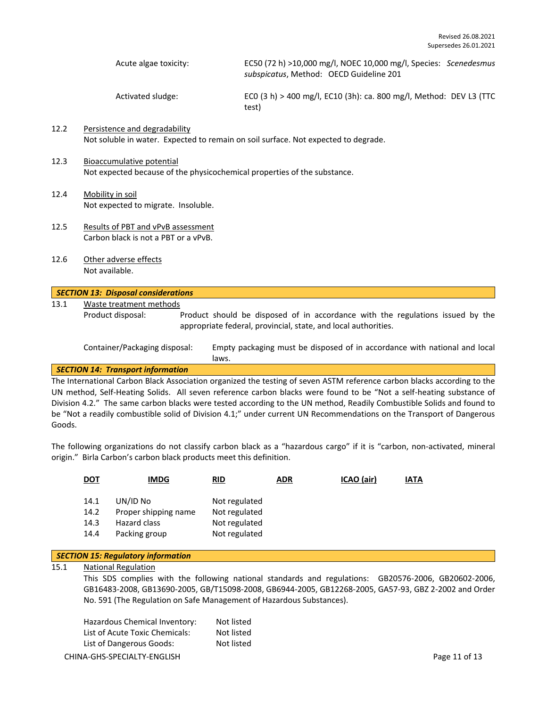| Acute algae toxicity: | EC50 (72 h) >10,000 mg/l, NOEC 10,000 mg/l, Species: Scenedesmus<br>subspicatus, Method: OECD Guideline 201 |
|-----------------------|-------------------------------------------------------------------------------------------------------------|
| Activated sludge:     | ECO (3 h) > 400 mg/l, EC10 (3h): ca. 800 mg/l, Method: DEV L3 (TTC<br>test)                                 |

- 12.2 Persistence and degradability Not soluble in water. Expected to remain on soil surface. Not expected to degrade.
- 12.3 Bioaccumulative potential Not expected because of the physicochemical properties of the substance.
- 12.4 Mobility in soil Not expected to migrate. Insoluble.
- 12.5 Results of PBT and vPvB assessment Carbon black is not a PBT or a vPvB.
- 12.6 Other adverse effects Not available.

#### *SECTION 13: Disposal considerations*

13.1 Waste treatment methods

Product disposal: Product should be disposed of in accordance with the regulations issued by the appropriate federal, provincial, state, and local authorities.

Container/Packaging disposal: Empty packaging must be disposed of in accordance with national and local laws.

#### *SECTION 14: Transport information*

The International Carbon Black Association organized the testing of seven ASTM reference carbon blacks according to the UN method, Self-Heating Solids. All seven reference carbon blacks were found to be "Not a self-heating substance of Division 4.2." The same carbon blacks were tested according to the UN method, Readily Combustible Solids and found to be "Not a readily combustible solid of Division 4.1;" under current UN Recommendations on the Transport of Dangerous Goods.

The following organizations do not classify carbon black as a "hazardous cargo" if it is "carbon, non-activated, mineral origin." Birla Carbon's carbon black products meet this definition.

| <b>DOT</b>                   | <b>IMDG</b>                                                       | <b>RID</b>                                                       | <b>ADR</b> | ICAO (air) | IATA |
|------------------------------|-------------------------------------------------------------------|------------------------------------------------------------------|------------|------------|------|
| 14.1<br>14.2<br>14.3<br>14.4 | UN/ID No<br>Proper shipping name<br>Hazard class<br>Packing group | Not regulated<br>Not regulated<br>Not regulated<br>Not regulated |            |            |      |
|                              |                                                                   |                                                                  |            |            |      |

#### *SECTION 15: Regulatory information*

15.1 National Regulation

This SDS complies with the following national standards and regulations: GB20576-2006, GB20602-2006, GB16483-2008, GB13690-2005, GB/T15098-2008, GB6944-2005, GB12268-2005, GA57-93, GBZ 2-2002 and Order No. 591 (The Regulation on Safe Management of Hazardous Substances).

| Hazardous Chemical Inventory:  | Not listed |               |
|--------------------------------|------------|---------------|
| List of Acute Toxic Chemicals: | Not listed |               |
| List of Dangerous Goods:       | Not listed |               |
| CHINA-GHS-SPECIALTY-ENGLISH    |            | Page 11 of 13 |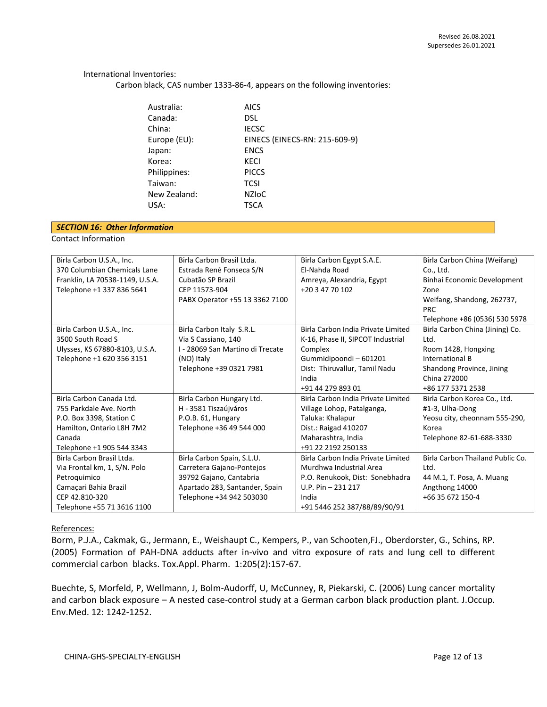# International Inventories:

Carbon black, CAS number 1333-86-4, appears on the following inventories:

| <b>AICS</b>                   |
|-------------------------------|
| <b>DSL</b>                    |
| <b>IECSC</b>                  |
| EINECS (EINECS-RN: 215-609-9) |
| <b>ENCS</b>                   |
| KECI                          |
| <b>PICCS</b>                  |
| <b>TCSI</b>                   |
| <b>NZIOC</b>                  |
| TSCA                          |
|                               |

# *SECTION 16: Other Information*

Contact Information

| Birla Carbon U.S.A., Inc.       | Birla Carbon Brasil Ltda.        | Birla Carbon Egypt S.A.E.          | Birla Carbon China (Weifang)     |
|---------------------------------|----------------------------------|------------------------------------|----------------------------------|
| 370 Columbian Chemicals Lane    | Estrada Renê Fonseca S/N         | El-Nahda Road                      | Co., Ltd.                        |
| Franklin, LA 70538-1149, U.S.A. | Cubatão SP Brazil                |                                    | Binhai Economic Development      |
|                                 |                                  | Amreya, Alexandria, Egypt          |                                  |
| Telephone +1 337 836 5641       | CEP 11573-904                    | +20 3 47 70 102                    | Zone                             |
|                                 | PABX Operator +55 13 3362 7100   |                                    | Weifang, Shandong, 262737,       |
|                                 |                                  |                                    | <b>PRC</b>                       |
|                                 |                                  |                                    | Telephone +86 (0536) 530 5978    |
| Birla Carbon U.S.A., Inc.       | Birla Carbon Italy S.R.L.        | Birla Carbon India Private Limited | Birla Carbon China (Jining) Co.  |
| 3500 South Road S               | Via S Cassiano, 140              | K-16, Phase II, SIPCOT Industrial  | Ltd.                             |
| Ulysses, KS 67880-8103, U.S.A.  | I - 28069 San Martino di Trecate | Complex                            | Room 1428, Hongxing              |
| Telephone +1 620 356 3151       | (NO) Italy                       | Gummidipoondi-601201               | International B                  |
|                                 | Telephone +39 0321 7981          | Dist: Thiruvallur, Tamil Nadu      | Shandong Province, Jining        |
|                                 |                                  | India                              | China 272000                     |
|                                 |                                  | +91 44 279 893 01                  | +86 177 5371 2538                |
| Birla Carbon Canada Ltd.        | Birla Carbon Hungary Ltd.        | Birla Carbon India Private Limited | Birla Carbon Korea Co., Ltd.     |
| 755 Parkdale Ave. North         | H - 3581 Tiszaújváros            | Village Lohop, Patalganga,         | #1-3, Ulha-Dong                  |
| P.O. Box 3398, Station C        | P.O.B. 61, Hungary               | Taluka: Khalapur                   | Yeosu city, cheonnam 555-290,    |
| Hamilton, Ontario L8H 7M2       | Telephone +36 49 544 000         | Dist.: Raigad 410207               | Korea                            |
| Canada                          |                                  | Maharashtra, India                 | Telephone 82-61-688-3330         |
| Telephone +1 905 544 3343       |                                  | +91 22 2192 250133                 |                                  |
| Birla Carbon Brasil Ltda.       | Birla Carbon Spain, S.L.U.       | Birla Carbon India Private Limited | Birla Carbon Thailand Public Co. |
| Via Frontal km, 1, S/N. Polo    | Carretera Gajano-Pontejos        | Murdhwa Industrial Area            | Ltd.                             |
| Petroquimico                    | 39792 Gajano, Cantabria          | P.O. Renukook, Dist: Sonebhadra    | 44 M.1, T. Posa, A. Muang        |
| Camacari Bahia Brazil           | Apartado 283, Santander, Spain   | U.P. Pin $-231$ 217                | Angthong 14000                   |
| CEP 42.810-320                  | Telephone +34 942 503030         | India                              | +66 35 672 150-4                 |
| Telephone +55 71 3616 1100      |                                  | +91 5446 252 387/88/89/90/91       |                                  |
|                                 |                                  |                                    |                                  |

#### References:

Borm, P.J.A., Cakmak, G., Jermann, E., Weishaupt C., Kempers, P., van Schooten,FJ., Oberdorster, G., Schins, RP. (2005) Formation of PAH-DNA adducts after in-vivo and vitro exposure of rats and lung cell to different commercial carbon blacks. Tox.Appl. Pharm. 1:205(2):157-67.

Buechte, S, Morfeld, P, Wellmann, J, Bolm-Audorff, U, McCunney, R, Piekarski, C. (2006) Lung cancer mortality and carbon black exposure – A nested case-control study at a German carbon black production plant. J.Occup. Env.Med. 12: 1242-1252.